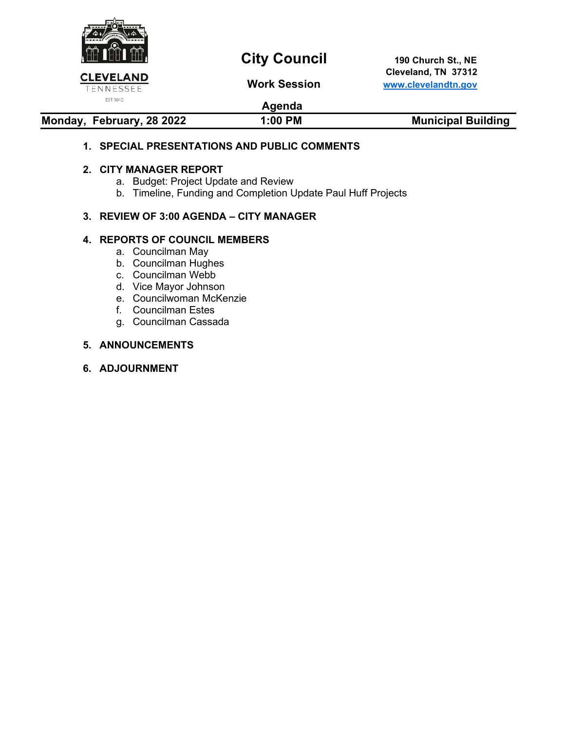

# **City Council** 190 Church St., NE

 **Cleveland, TN 37312 Work Session [www.clevelandtn.gov](http://www.clevelandtn.gov/)**

## **Agenda**

#### **Monday, February, 28 2022 1:00 PM Municipal Building**

#### **1. SPECIAL PRESENTATIONS AND PUBLIC COMMENTS**

#### **2. CITY MANAGER REPORT**

- a. Budget: Project Update and Review
- b. Timeline, Funding and Completion Update Paul Huff Projects

#### **3. REVIEW OF 3:00 AGENDA – CITY MANAGER**

#### **4. REPORTS OF COUNCIL MEMBERS**

- a. Councilman May
- b. Councilman Hughes
- c. Councilman Webb
- d. Vice Mayor Johnson
- e. Councilwoman McKenzie
- f. Councilman Estes
- g. Councilman Cassada

#### **5. ANNOUNCEMENTS**

**6. ADJOURNMENT**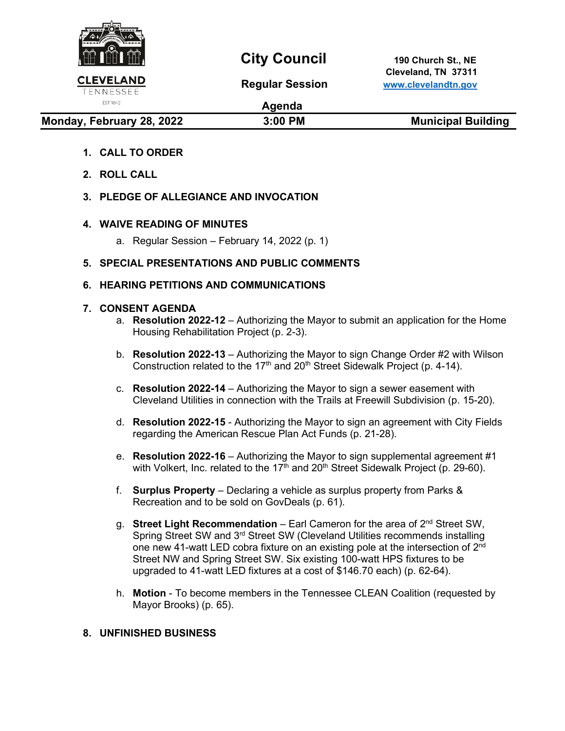

## **City Council** 190 Church St., NE

 **Cleveland, TN 37311 Regular Session [www.clevelandtn.gov](http://www.clevelandtn.gov/)**

EST. 1842

**Agenda**

**Monday, February 28, 2022 19:00 PM Municipal Building** 

### **1. CALL TO ORDER**

- **2. ROLL CALL**
- **3. PLEDGE OF ALLEGIANCE AND INVOCATION**

#### **4. WAIVE READING OF MINUTES**

a. Regular Session – February 14, 2022 (p. 1)

### **5. SPECIAL PRESENTATIONS AND PUBLIC COMMENTS**

### **6. HEARING PETITIONS AND COMMUNICATIONS**

#### **7. CONSENT AGENDA**

- a. **Resolution 2022-12** Authorizing the Mayor to submit an application for the Home Housing Rehabilitation Project (p. 2-3).
- b. **Resolution 2022-13** Authorizing the Mayor to sign Change Order #2 with Wilson Construction related to the 17<sup>th</sup> and 20<sup>th</sup> Street Sidewalk Project (p. 4-14).
- c. **Resolution 2022-14** Authorizing the Mayor to sign a sewer easement with Cleveland Utilities in connection with the Trails at Freewill Subdivision (p. 15-20).
- d. **Resolution 2022-15** Authorizing the Mayor to sign an agreement with City Fields regarding the American Rescue Plan Act Funds (p. 21-28).
- e. **Resolution 2022-16** Authorizing the Mayor to sign supplemental agreement #1 with Volkert, Inc. related to the  $17^{\text{th}}$  and  $20^{\text{th}}$  Street Sidewalk Project (p. 29-60).
- f. **Surplus Property** Declaring a vehicle as surplus property from Parks & Recreation and to be sold on GovDeals (p. 61).
- g. **Street Light Recommendation** Earl Cameron for the area of 2nd Street SW, Spring Street SW and 3<sup>rd</sup> Street SW (Cleveland Utilities recommends installing one new 41-watt LED cobra fixture on an existing pole at the intersection of 2<sup>nd</sup> Street NW and Spring Street SW. Six existing 100-watt HPS fixtures to be upgraded to 41-watt LED fixtures at a cost of \$146.70 each) (p. 62-64).
- h. **Motion** To become members in the Tennessee CLEAN Coalition (requested by Mayor Brooks) (p. 65).

#### **8. UNFINISHED BUSINESS**